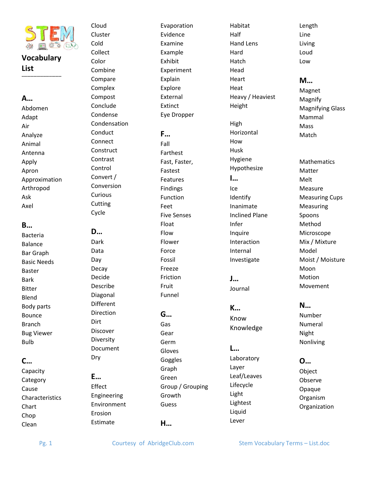

## **Vocabulary List**

**---------------------------**

## **A…**

Abdomen Adapt Air Analyze Animal Antenna Apply Apron Approximation Arthropod Ask Axel

#### **B…**

Bacteria Balance Bar Graph Basic Needs Baster Bark Bitter Blend Body parts Bounce Branch Bug Viewer Bulb

## **C…**

Capacity **Category** Cause **Characteristics** Chart Chop Clean

Cloud Cluster Cold Collect Color Combine Compare Complex Compost Conclude Condense Condensation Conduct Connect **Construct** Contrast Control Convert / Conversion Curious Cutting Cycle

**D…**  Dark Data Day

Decay Decide Describe Diagonal Different **Direction Dirt** Discover Diversity Document

**E…** Effect Engineering Environment Erosion Estimate

Dry

Evaporation Evidence Examine Example Exhibit Experiment Explain Explore External Extinct Eye Dropper **F…** Fall Farthest Fast, Faster, Fastest Features

Findings Function Feet Five Senses Float Flow Flower Force Fossil Freeze Friction Fruit Funnel

# **G…**

Gas Gear Germ Gloves Goggles Graph Green Group / Grouping Growth Guess **H…**

Habitat Half Hand Lens Hard Hatch Head Heart Heat Heavy / Heaviest Height High Horizontal How Husk Hygiene Hypothesize **I…** Ice Identify Inanimate Inclined Plane Infer Inquire Interaction Internal Investigate

**J…** Journal

**K…** Know Knowledge

**L…** Laboratory Layer Leaf/Leaves Lifecycle Light Lightest Liquid Lever

Line Living Loud Low **M…**

Length

Magnet Magnify Magnifying Glass Mammal Mass Match

Mathematics Matter Melt Measure Measuring Cups Measuring Spoons Method Microscope Mix / Mixture Model Moist / Moisture Moon Motion Movement

**N…**

Number Numeral Night Nonliving

**O…** Object Observe Opaque Organism Organization